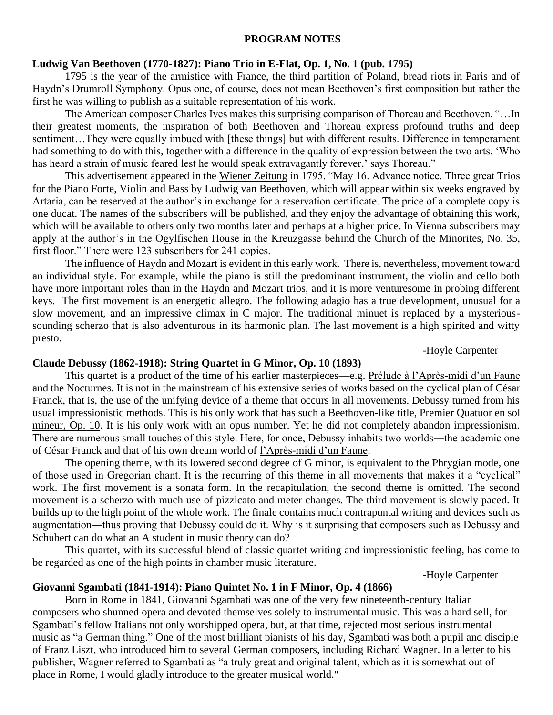## **PROGRAM NOTES**

# **Ludwig Van Beethoven (1770-1827): Piano Trio in E-Flat, Op. 1, No. 1 (pub. 1795)**

1795 is the year of the armistice with France, the third partition of Poland, bread riots in Paris and of Haydn's Drumroll Symphony. Opus one, of course, does not mean Beethoven's first composition but rather the first he was willing to publish as a suitable representation of his work.

The American composer Charles Ives makes this surprising comparison of Thoreau and Beethoven. "…In their greatest moments, the inspiration of both Beethoven and Thoreau express profound truths and deep sentiment...They were equally imbued with [these things] but with different results. Difference in temperament had something to do with this, together with a difference in the quality of expression between the two arts. 'Who has heard a strain of music feared lest he would speak extravagantly forever,' says Thoreau."

This advertisement appeared in the Wiener Zeitung in 1795. "May 16. Advance notice. Three great Trios for the Piano Forte, Violin and Bass by Ludwig van Beethoven, which will appear within six weeks engraved by Artaria, can be reserved at the author's in exchange for a reservation certificate. The price of a complete copy is one ducat. The names of the subscribers will be published, and they enjoy the advantage of obtaining this work, which will be available to others only two months later and perhaps at a higher price. In Vienna subscribers may apply at the author's in the Ogylfischen House in the Kreuzgasse behind the Church of the Minorites, No. 35, first floor." There were 123 subscribers for 241 copies.

The influence of Haydn and Mozart is evident in this early work. There is, nevertheless, movement toward an individual style. For example, while the piano is still the predominant instrument, the violin and cello both have more important roles than in the Haydn and Mozart trios, and it is more venturesome in probing different keys. The first movement is an energetic allegro. The following adagio has a true development, unusual for a slow movement, and an impressive climax in C major. The traditional minuet is replaced by a mysterioussounding scherzo that is also adventurous in its harmonic plan. The last movement is a high spirited and witty presto.

-Hoyle Carpenter

## **Claude Debussy (1862-1918): String Quartet in G Minor, Op. 10 (1893)**

This quartet is a product of the time of his earlier masterpieces—e.g. Prélude à l'Après-midi d'un Faune and the Nocturnes. It is not in the mainstream of his extensive series of works based on the cyclical plan of César Franck, that is, the use of the unifying device of a theme that occurs in all movements. Debussy turned from his usual impressionistic methods. This is his only work that has such a Beethoven-like title, Premier Quatuor en sol mineur, Op. 10. It is his only work with an opus number. Yet he did not completely abandon impressionism. There are numerous small touches of this style. Here, for once, Debussy inhabits two worlds—the academic one of César Franck and that of his own dream world of l'Après-midi d'un Faune.

The opening theme, with its lowered second degree of G minor, is equivalent to the Phrygian mode, one of those used in Gregorian chant. It is the recurring of this theme in all movements that makes it a "cyclical" work. The first movement is a sonata form. In the recapitulation, the second theme is omitted. The second movement is a scherzo with much use of pizzicato and meter changes. The third movement is slowly paced. It builds up to the high point of the whole work. The finale contains much contrapuntal writing and devices such as augmentation―thus proving that Debussy could do it. Why is it surprising that composers such as Debussy and Schubert can do what an A student in music theory can do?

This quartet, with its successful blend of classic quartet writing and impressionistic feeling, has come to be regarded as one of the high points in chamber music literature.

-Hoyle Carpenter

## **Giovanni Sgambati (1841-1914): Piano Quintet No. 1 in F Minor, Op. 4 (1866)**

Born in Rome in 1841, Giovanni Sgambati was one of the very few nineteenth-century Italian composers who shunned opera and devoted themselves solely to instrumental music. This was a hard sell, for Sgambati's fellow Italians not only worshipped opera, but, at that time, rejected most serious instrumental music as "a German thing." One of the most brilliant pianists of his day, Sgambati was both a pupil and disciple of Franz Liszt, who introduced him to several German composers, including Richard Wagner. In a letter to his publisher, Wagner referred to Sgambati as "a truly great and original talent, which as it is somewhat out of place in Rome, I would gladly introduce to the greater musical world."